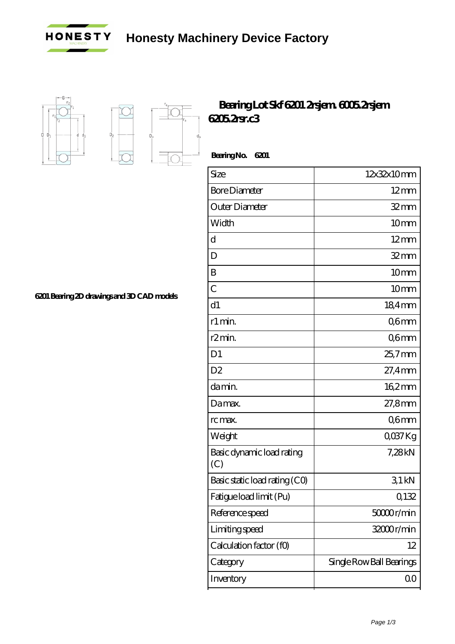

## **[Honesty Machinery Device Factory](https://m.okfxqy.com)**



 $\overrightarrow{D}$ 

**[Bearing Lot Skf 6201 2rsjem. 6005.2rsjem](https://m.okfxqy.com/sale-64692658-bearing-lot-skf-6201-2rsjem-6005-2rsjem-6205-2rsr-c3.html) [6205.2rsr.c3](https://m.okfxqy.com/sale-64692658-bearing-lot-skf-6201-2rsjem-6005-2rsjem-6205-2rsr-c3.html)**

 **Bearing No. 6201** Size 12x32x10 mm Bore Diameter 12 mm Outer Diameter 32 mm Width  $10 \text{mm}$ d 12 mm D  $32 \text{mm}$ B 10 mm  $\sim$  10 mm d1 184mm r1 min. Comm r2min. Q6mm D1 25,7 mm D2 27,4 mm da min. 16,2 mm Da max. 27,8 mm rc max. Q6mm Weight Q037 Kg Basic dynamic load rating (C) 7,28 kN Basic static load rating  $(CQ)$  3,1 kN Fatigue load limit (Pu) 0,132 Reference speed 50000 r/min Limiting speed 32000 r/min Calculation factor (f0) 12 Category Single Row Ball Bearings

Inventory 0.0

**[6201 Bearing 2D drawings and 3D CAD models](https://m.okfxqy.com/pic-64692658.html)**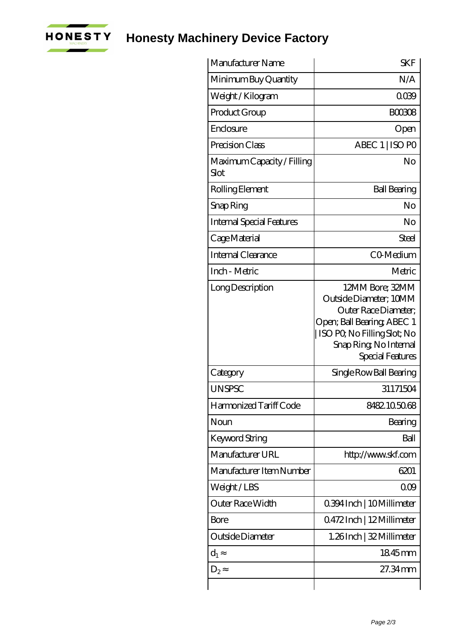

**[Honesty Machinery Device Factory](https://m.okfxqy.com)**

| Manufacturer Name                  | <b>SKF</b>                                                                                                                                                                   |
|------------------------------------|------------------------------------------------------------------------------------------------------------------------------------------------------------------------------|
| Minimum Buy Quantity               | N/A                                                                                                                                                                          |
| Weight/Kilogram                    | 0039                                                                                                                                                                         |
| Product Group                      | <b>BOO308</b>                                                                                                                                                                |
| Enclosure                          | Open                                                                                                                                                                         |
| Precision Class                    | ABEC 1   ISO PO                                                                                                                                                              |
| Maximum Capacity / Filling<br>Slot | No                                                                                                                                                                           |
| Rolling Element                    | <b>Ball Bearing</b>                                                                                                                                                          |
| Snap Ring                          | No                                                                                                                                                                           |
| <b>Internal Special Features</b>   | No                                                                                                                                                                           |
| Cage Material                      | Steel                                                                                                                                                                        |
| Internal Clearance                 | CO-Medium                                                                                                                                                                    |
| Inch - Metric                      | Metric                                                                                                                                                                       |
| Long Description                   | 12MM Bore; 32MM<br>Outside Diameter; 10MM<br>Outer Race Diameter;<br>Open; Ball Bearing; ABEC 1<br>ISO PO, No Filling Slot; No<br>Snap Ring, No Internal<br>Special Features |
| Category                           | Single Row Ball Bearing                                                                                                                                                      |
| <b>UNSPSC</b>                      | 31171504                                                                                                                                                                     |
| Harmonized Tariff Code             | 8482105068                                                                                                                                                                   |
| Noun                               | Bearing                                                                                                                                                                      |
| Keyword String                     | Ball                                                                                                                                                                         |
| Manufacturer URL                   | http://www.skf.com                                                                                                                                                           |
| Manufacturer Item Number           | 6201                                                                                                                                                                         |
| Weight/LBS                         | Οœ                                                                                                                                                                           |
| Outer Race Width                   | 0.394 Inch   10 Millimeter                                                                                                                                                   |
| Bore                               | 0.472 Inch   12 Millimeter                                                                                                                                                   |
| Outside Diameter                   | 1.26Inch   32 Millimeter                                                                                                                                                     |
| $d_1$                              | 1845mm                                                                                                                                                                       |
| $D_2$                              | 27.34mm                                                                                                                                                                      |
|                                    |                                                                                                                                                                              |